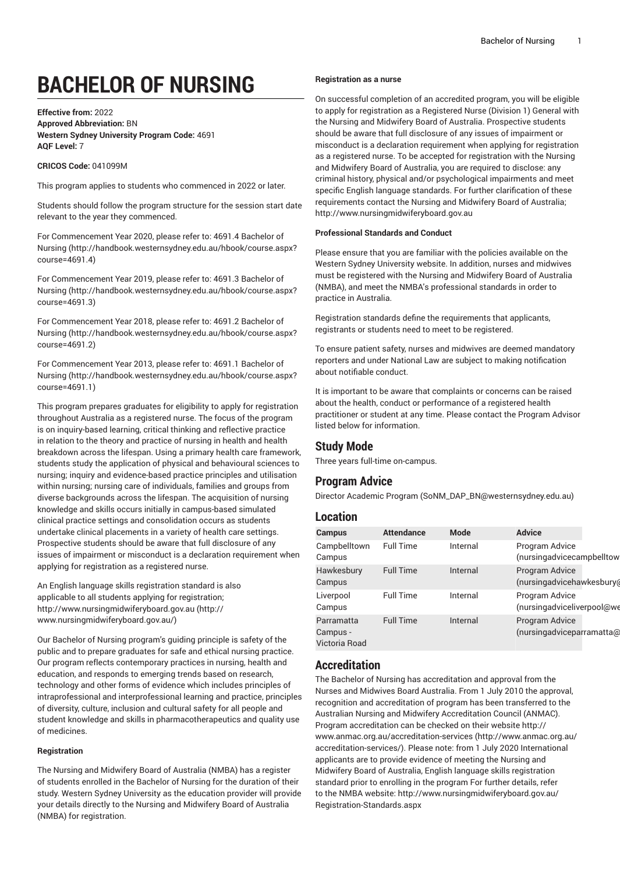# **BACHELOR OF NURSING**

**Effective from:** 2022 **Approved Abbreviation:** BN **Western Sydney University Program Code:** 4691 **AQF Level:** 7

### **CRICOS Code:** 041099M

This program applies to students who commenced in 2022 or later.

Students should follow the program structure for the session start date relevant to the year they commenced.

For [Commencement](http://handbook.westernsydney.edu.au/hbook/course.aspx?course=4691.4) Year 2020, please refer to: 4691.4 Bachelor of [Nursing](http://handbook.westernsydney.edu.au/hbook/course.aspx?course=4691.4) ([http://handbook.westernsydney.edu.au/hbook/course.aspx?](http://handbook.westernsydney.edu.au/hbook/course.aspx?course=4691.4) [course=4691.4\)](http://handbook.westernsydney.edu.au/hbook/course.aspx?course=4691.4)

For [Commencement](http://handbook.westernsydney.edu.au/hbook/course.aspx?course=4691.3) Year 2019, please refer to: 4691.3 Bachelor of [Nursing](http://handbook.westernsydney.edu.au/hbook/course.aspx?course=4691.3) ([http://handbook.westernsydney.edu.au/hbook/course.aspx?](http://handbook.westernsydney.edu.au/hbook/course.aspx?course=4691.3) [course=4691.3\)](http://handbook.westernsydney.edu.au/hbook/course.aspx?course=4691.3)

For [Commencement](http://handbook.westernsydney.edu.au/hbook/course.aspx?course=4691.2) Year 2018, please refer to: 4691.2 Bachelor of [Nursing](http://handbook.westernsydney.edu.au/hbook/course.aspx?course=4691.2) ([http://handbook.westernsydney.edu.au/hbook/course.aspx?](http://handbook.westernsydney.edu.au/hbook/course.aspx?course=4691.2) [course=4691.2\)](http://handbook.westernsydney.edu.au/hbook/course.aspx?course=4691.2)

For [Commencement](http://handbook.westernsydney.edu.au/hbook/course.aspx?course=4691.1) Year 2013, please refer to: 4691.1 Bachelor of [Nursing](http://handbook.westernsydney.edu.au/hbook/course.aspx?course=4691.1) ([http://handbook.westernsydney.edu.au/hbook/course.aspx?](http://handbook.westernsydney.edu.au/hbook/course.aspx?course=4691.1) [course=4691.1\)](http://handbook.westernsydney.edu.au/hbook/course.aspx?course=4691.1)

This program prepares graduates for eligibility to apply for registration throughout Australia as a registered nurse. The focus of the program is on inquiry-based learning, critical thinking and reflective practice in relation to the theory and practice of nursing in health and health breakdown across the lifespan. Using a primary health care framework, students study the application of physical and behavioural sciences to nursing; inquiry and evidence-based practice principles and utilisation within nursing; nursing care of individuals, families and groups from diverse backgrounds across the lifespan. The acquisition of nursing knowledge and skills occurs initially in campus-based simulated clinical practice settings and consolidation occurs as students undertake clinical placements in a variety of health care settings. Prospective students should be aware that full disclosure of any issues of impairment or misconduct is a declaration requirement when applying for registration as a registered nurse.

An English language skills registration standard is also applicable to all students applying for registration; [http://www.nursingmidwiferyboard.gov.au \(http://](http://www.nursingmidwiferyboard.gov.au/) [www.nursingmidwiferyboard.gov.au/\)](http://www.nursingmidwiferyboard.gov.au/)

Our Bachelor of Nursing program's guiding principle is safety of the public and to prepare graduates for safe and ethical nursing practice. Our program reflects contemporary practices in nursing, health and education, and responds to emerging trends based on research, technology and other forms of evidence which includes principles of intraprofessional and interprofessional learning and practice, principles of diversity, culture, inclusion and cultural safety for all people and student knowledge and skills in pharmacotherapeutics and quality use of medicines.

### **Registration**

The Nursing and Midwifery Board of Australia (NMBA) has a register of students enrolled in the Bachelor of Nursing for the duration of their study. Western Sydney University as the education provider will provide your details directly to the Nursing and Midwifery Board of Australia (NMBA) for registration.

#### **Registration as a nurse**

On successful completion of an accredited program, you will be eligible to apply for registration as a Registered Nurse (Division 1) General with the Nursing and Midwifery Board of Australia. Prospective students should be aware that full disclosure of any issues of impairment or misconduct is a declaration requirement when applying for registration as a registered nurse. To be accepted for registration with the Nursing and Midwifery Board of Australia, you are required to disclose: any criminal history, physical and/or psychological impairments and meet specific English language standards. For further clarification of these requirements contact the Nursing and Midwifery Board of Australia; <http://www.nursingmidwiferyboard.gov.au>

#### **Professional Standards and Conduct**

Please ensure that you are familiar with the policies available on the Western Sydney University website. In addition, nurses and midwives must be registered with the Nursing and Midwifery Board of Australia (NMBA), and meet the NMBA's professional standards in order to practice in Australia.

Registration standards define the requirements that applicants, registrants or students need to meet to be registered.

To ensure patient safety, nurses and midwives are deemed mandatory reporters and under National Law are subject to making notification about notifiable conduct.

It is important to be aware that complaints or concerns can be raised about the health, conduct or performance of a registered health practitioner or student at any time. Please contact the Program Advisor listed below for information.

### **Study Mode**

Three years full-time on-campus.

# **Program Advice**

Director [Academic](mailto:SoNM_DAP_BN@westernsydney.edu.au) Program [\(SoNM\\_DAP\\_BN@westernsydney.edu.au](SoNM_DAP_BN@westernsydney.edu.au))

# **Location**

| <b>Campus</b>                           | <b>Attendance</b> | Mode     | <b>Advice</b>                                |  |
|-----------------------------------------|-------------------|----------|----------------------------------------------|--|
| Campbelltown<br>Campus                  | <b>Full Time</b>  | Internal | Program Advice<br>(nursingadvicecampbelltow  |  |
| Hawkesbury<br>Campus                    | <b>Full Time</b>  | Internal | Program Advice<br>(nursingadvicehawkesbury(  |  |
| Liverpool<br>Campus                     | <b>Full Time</b>  | Internal | Program Advice<br>(nursingadviceliverpool@we |  |
| Parramatta<br>Campus -<br>Victoria Road | <b>Full Time</b>  | Internal | Program Advice<br>(nursingadviceparramatta@  |  |

### **Accreditation**

The Bachelor of Nursing has accreditation and approval from the Nurses and Midwives Board Australia. From 1 July 2010 the approval, recognition and accreditation of program has been transferred to the Australian Nursing and Midwifery Accreditation Council (ANMAC). Program accreditation can be checked on their website [http://](http://www.anmac.org.au/accreditation-services/) [www.anmac.org.au/accreditation-services](http://www.anmac.org.au/accreditation-services/) ([http://www.anmac.org.au/](http://www.anmac.org.au/accreditation-services/) [accreditation-services/\)](http://www.anmac.org.au/accreditation-services/). Please note: from 1 July 2020 International applicants are to provide evidence of meeting the Nursing and Midwifery Board of Australia, English language skills registration standard prior to enrolling in the program For further details, refer to the NMBA website: [http://www.nursingmidwiferyboard.gov.au/](http://www.nursingmidwiferyboard.gov.au/Registration-Standards.aspx) [Registration-Standards.aspx](http://www.nursingmidwiferyboard.gov.au/Registration-Standards.aspx)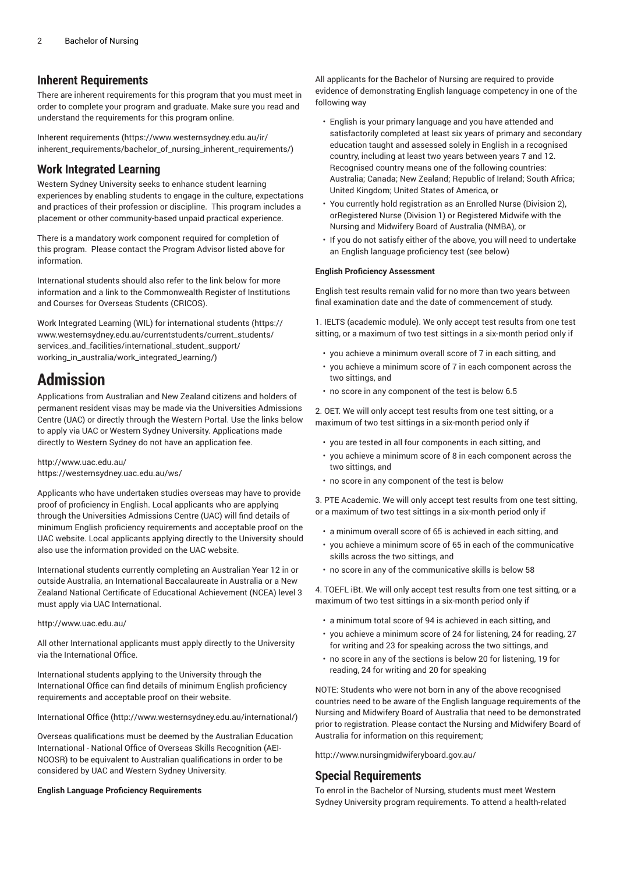# **Inherent Requirements**

There are inherent requirements for this program that you must meet in order to complete your program and graduate. Make sure you read and understand the requirements for this program online.

Inherent [requirements](https://www.westernsydney.edu.au/ir/inherent_requirements/bachelor_of_nursing_inherent_requirements/) ([https://www.westernsydney.edu.au/ir/](https://www.westernsydney.edu.au/ir/inherent_requirements/bachelor_of_nursing_inherent_requirements/) [inherent\\_requirements/bachelor\\_of\\_nursing\\_inherent\\_requirements/\)](https://www.westernsydney.edu.au/ir/inherent_requirements/bachelor_of_nursing_inherent_requirements/)

# **Work Integrated Learning**

Western Sydney University seeks to enhance student learning experiences by enabling students to engage in the culture, expectations and practices of their profession or discipline. This program includes a placement or other community-based unpaid practical experience.

There is a mandatory work component required for completion of this program. Please contact the Program Advisor listed above for information.

International students should also refer to the link below for more information and a link to the Commonwealth Register of Institutions and Courses for Overseas Students (CRICOS).

Work Integrated Learning (WIL) for [international](https://www.westernsydney.edu.au/currentstudents/current_students/services_and_facilities/international_student_support/working_in_australia/work_integrated_learning/) students [\(https://](https://www.westernsydney.edu.au/currentstudents/current_students/services_and_facilities/international_student_support/working_in_australia/work_integrated_learning/) [www.westernsydney.edu.au/currentstudents/current\\_students/](https://www.westernsydney.edu.au/currentstudents/current_students/services_and_facilities/international_student_support/working_in_australia/work_integrated_learning/) [services\\_and\\_facilities/international\\_student\\_support/](https://www.westernsydney.edu.au/currentstudents/current_students/services_and_facilities/international_student_support/working_in_australia/work_integrated_learning/) [working\\_in\\_australia/work\\_integrated\\_learning/\)](https://www.westernsydney.edu.au/currentstudents/current_students/services_and_facilities/international_student_support/working_in_australia/work_integrated_learning/)

# **Admission**

Applications from Australian and New Zealand citizens and holders of permanent resident visas may be made via the Universities Admissions Centre (UAC) or directly through the Western Portal. Use the links below to apply via UAC or Western Sydney University. Applications made directly to Western Sydney do not have an application fee.

<http://www.uac.edu.au/> <https://westernsydney.uac.edu.au/ws/>

Applicants who have undertaken studies overseas may have to provide proof of proficiency in English. Local applicants who are applying through the Universities Admissions Centre (UAC) will find details of minimum English proficiency requirements and acceptable proof on the UAC website. Local applicants applying directly to the University should also use the information provided on the UAC website.

International students currently completing an Australian Year 12 in or outside Australia, an International Baccalaureate in Australia or a New Zealand National Certificate of Educational Achievement (NCEA) level 3 must apply via UAC International.

### <http://www.uac.edu.au/>

All other International applicants must apply directly to the University via the International Office.

International students applying to the University through the International Office can find details of minimum English proficiency requirements and acceptable proof on their website.

[International Office \(http://www.westernsydney.edu.au/international/\)](http://www.westernsydney.edu.au/international/)

Overseas qualifications must be deemed by the Australian Education International - National Office of Overseas Skills Recognition (AEI-NOOSR) to be equivalent to Australian qualifications in order to be considered by UAC and Western Sydney University.

### **English Language Proficiency Requirements**

All applicants for the Bachelor of Nursing are required to provide evidence of demonstrating English language competency in one of the following way

- English is your primary language and you have attended and satisfactorily completed at least six years of primary and secondary education taught and assessed solely in English in a recognised country, including at least two years between years 7 and 12. Recognised country means one of the following countries: Australia; Canada; New Zealand; Republic of Ireland; South Africa; United Kingdom; United States of America, or
- You currently hold registration as an Enrolled Nurse (Division 2), orRegistered Nurse (Division 1) or Registered Midwife with the Nursing and Midwifery Board of Australia (NMBA), or
- If you do not satisfy either of the above, you will need to undertake an English language proficiency test (see below)

### **English Proficiency Assessment**

English test results remain valid for no more than two years between final examination date and the date of commencement of study.

1. IELTS (academic module). We only accept test results from one test sitting, or a maximum of two test sittings in a six-month period only if

- you achieve a minimum overall score of 7 in each sitting, and
- you achieve a minimum score of 7 in each component across the two sittings, and
- no score in any component of the test is below 6.5

2. OET. We will only accept test results from one test sitting, or a maximum of two test sittings in a six-month period only if

- you are tested in all four components in each sitting, and
- you achieve a minimum score of 8 in each component across the two sittings, and
- no score in any component of the test is below

3. PTE Academic. We will only accept test results from one test sitting, or a maximum of two test sittings in a six-month period only if

- a minimum overall score of 65 is achieved in each sitting, and
- you achieve a minimum score of 65 in each of the communicative skills across the two sittings, and
- no score in any of the communicative skills is below 58

4. TOEFL iBt. We will only accept test results from one test sitting, or a maximum of two test sittings in a six-month period only if

- a minimum total score of 94 is achieved in each sitting, and
- you achieve a minimum score of 24 for listening, 24 for reading, 27 for writing and 23 for speaking across the two sittings, and
- no score in any of the sections is below 20 for listening, 19 for reading, 24 for writing and 20 for speaking

NOTE: Students who were not born in any of the above recognised countries need to be aware of the English language requirements of the Nursing and Midwifery Board of Australia that need to be demonstrated prior to registration. Please contact the Nursing and Midwifery Board of Australia for information on this requirement;

<http://www.nursingmidwiferyboard.gov.au/>

# **Special Requirements**

To enrol in the Bachelor of Nursing, students must meet Western Sydney University program requirements. To attend a health-related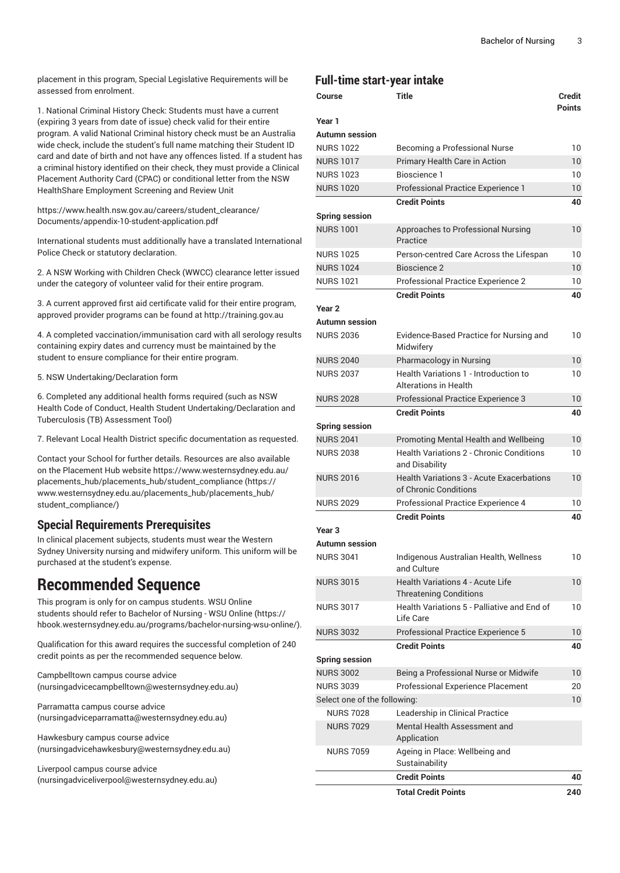placement in this program, Special Legislative Requirements will be assessed from enrolment.

1. National Criminal History Check: Students must have a current (expiring 3 years from date of issue) check valid for their entire program. A valid National Criminal history check must be an Australia wide check, include the student's full name matching their Student ID card and date of birth and not have any offences listed. If a student has a criminal history identified on their check, they must provide a Clinical Placement Authority Card (CPAC) or conditional letter from the NSW HealthShare Employment Screening and Review Unit

[https://www.health.nsw.gov.au/careers/student\\_clearance/](https://www.health.nsw.gov.au/careers/student_clearance/Documents/appendix-10-student-application.pdf) [Documents/appendix-10-student-application.pdf](https://www.health.nsw.gov.au/careers/student_clearance/Documents/appendix-10-student-application.pdf)

International students must additionally have a translated International Police Check or statutory declaration.

2. A NSW Working with Children Check (WWCC) clearance letter issued under the category of volunteer valid for their entire program.

3. A current approved first aid certificate valid for their entire program, approved provider programs can be found at <http://training.gov.au>

4. A completed vaccination/immunisation card with all serology results containing expiry dates and currency must be maintained by the student to ensure compliance for their entire program.

5. NSW Undertaking/Declaration form

6. Completed any additional health forms required (such as NSW Health Code of Conduct, Health Student Undertaking/Declaration and Tuberculosis (TB) Assessment Tool)

7. Relevant Local Health District specific documentation as requested.

Contact your School for further details. Resources are also available on the Placement Hub website [https://www.westernsydney.edu.au/](https://www.westernsydney.edu.au/placements_hub/placements_hub/student_compliance/) [placements\\_hub/placements\\_hub/student\\_compliance](https://www.westernsydney.edu.au/placements_hub/placements_hub/student_compliance/) ([https://](https://www.westernsydney.edu.au/placements_hub/placements_hub/student_compliance/) [www.westernsydney.edu.au/placements\\_hub/placements\\_hub/](https://www.westernsydney.edu.au/placements_hub/placements_hub/student_compliance/) [student\\_compliance/](https://www.westernsydney.edu.au/placements_hub/placements_hub/student_compliance/))

# **Special Requirements Prerequisites**

In clinical placement subjects, students must wear the Western Sydney University nursing and midwifery uniform. This uniform will be purchased at the student's expense.

# **Recommended Sequence**

This program is only for on campus students. WSU Online students should refer to [Bachelor of Nursing - WSU Online \(https://](https://hbook.westernsydney.edu.au/programs/bachelor-nursing-wsu-online/) [hbook.westernsydney.edu.au/programs/bachelor-nursing-wsu-online/](https://hbook.westernsydney.edu.au/programs/bachelor-nursing-wsu-online/)).

Qualification for this award requires the successful completion of 240 credit points as per the recommended sequence below.

[Campbelltown campus course advice](mailto:nursingadvicecampbelltown@westernsydney.edu.au) (<nursingadvicecampbelltown@westernsydney.edu.au>)

[Parramatta](mailto:nursingadviceparramatta@westernsydney.edu.au) campus course advice (<nursingadviceparramatta@westernsydney.edu.au>)

[Hawkesbury](mailto:nursingadvicehawkesbury@westernsydney.edu.au) campus course advice ([nursingadvicehawkesbury@westernsydney.edu.au\)](nursingadvicehawkesbury@westernsydney.edu.au)

[Liverpool](mailto:nursingadviceliverpool@westernsydney.edu.au) campus course advice ([nursingadviceliverpool@westernsydney.edu.au\)](nursingadviceliverpool@westernsydney.edu.au)

# **Full-time start-year intake**

| Course                       | Title                                                                     |     |  |  |  |
|------------------------------|---------------------------------------------------------------------------|-----|--|--|--|
| Year 1                       |                                                                           |     |  |  |  |
| Autumn session               |                                                                           |     |  |  |  |
| <b>NURS 1022</b>             | Becoming a Professional Nurse                                             | 10  |  |  |  |
| <b>NURS 1017</b>             | Primary Health Care in Action                                             | 10  |  |  |  |
| <b>NURS 1023</b>             | Bioscience 1                                                              | 10  |  |  |  |
| <b>NURS 1020</b>             | Professional Practice Experience 1                                        |     |  |  |  |
|                              | <b>Credit Points</b>                                                      | 40  |  |  |  |
| <b>Spring session</b>        |                                                                           |     |  |  |  |
| <b>NURS 1001</b>             | Approaches to Professional Nursing<br>Practice                            | 10  |  |  |  |
| <b>NURS 1025</b>             | Person-centred Care Across the Lifespan                                   | 10  |  |  |  |
| <b>NURS 1024</b>             | Bioscience 2                                                              | 10  |  |  |  |
| <b>NURS 1021</b>             | Professional Practice Experience 2                                        | 10  |  |  |  |
|                              | <b>Credit Points</b>                                                      | 40  |  |  |  |
| Year <sub>2</sub>            |                                                                           |     |  |  |  |
| Autumn session               |                                                                           |     |  |  |  |
| <b>NURS 2036</b>             | Evidence-Based Practice for Nursing and<br>Midwifery                      | 10  |  |  |  |
| <b>NURS 2040</b>             | Pharmacology in Nursing                                                   | 10  |  |  |  |
| <b>NURS 2037</b>             | Health Variations 1 - Introduction to                                     | 10  |  |  |  |
|                              | Alterations in Health                                                     |     |  |  |  |
| <b>NURS 2028</b>             | Professional Practice Experience 3                                        | 10  |  |  |  |
|                              | <b>Credit Points</b>                                                      | 40  |  |  |  |
| <b>Spring session</b>        |                                                                           |     |  |  |  |
| <b>NURS 2041</b>             | Promoting Mental Health and Wellbeing                                     | 10  |  |  |  |
| <b>NURS 2038</b>             | <b>Health Variations 2 - Chronic Conditions</b><br>and Disability         | 10  |  |  |  |
| <b>NURS 2016</b>             | <b>Health Variations 3 - Acute Exacerbations</b><br>of Chronic Conditions | 10  |  |  |  |
| <b>NURS 2029</b>             | Professional Practice Experience 4                                        | 10  |  |  |  |
|                              | <b>Credit Points</b>                                                      | 40  |  |  |  |
| Year <sub>3</sub>            |                                                                           |     |  |  |  |
| <b>Autumn session</b>        |                                                                           |     |  |  |  |
| <b>NURS 3041</b>             | Indigenous Australian Health, Wellness<br>and Culture                     | 10. |  |  |  |
| <b>NURS 3015</b>             | <b>Health Variations 4 - Acute Life</b><br><b>Threatening Conditions</b>  | 10  |  |  |  |
| <b>NURS 3017</b>             | Health Variations 5 - Palliative and End of<br>Life Care                  | 10  |  |  |  |
| <b>NURS 3032</b>             | Professional Practice Experience 5                                        | 10  |  |  |  |
|                              | <b>Credit Points</b>                                                      | 40  |  |  |  |
| <b>Spring session</b>        |                                                                           |     |  |  |  |
| <b>NURS 3002</b>             | Being a Professional Nurse or Midwife                                     | 10  |  |  |  |
| <b>NURS 3039</b>             | Professional Experience Placement                                         | 20  |  |  |  |
| Select one of the following: |                                                                           |     |  |  |  |
| <b>NURS 7028</b>             | Leadership in Clinical Practice                                           |     |  |  |  |
| <b>NURS 7029</b>             | Mental Health Assessment and<br>Application                               |     |  |  |  |
| <b>NURS 7059</b>             | Ageing in Place: Wellbeing and<br>Sustainability                          |     |  |  |  |
|                              | <b>Credit Points</b>                                                      | 40  |  |  |  |
|                              | <b>Total Credit Points</b>                                                | 240 |  |  |  |